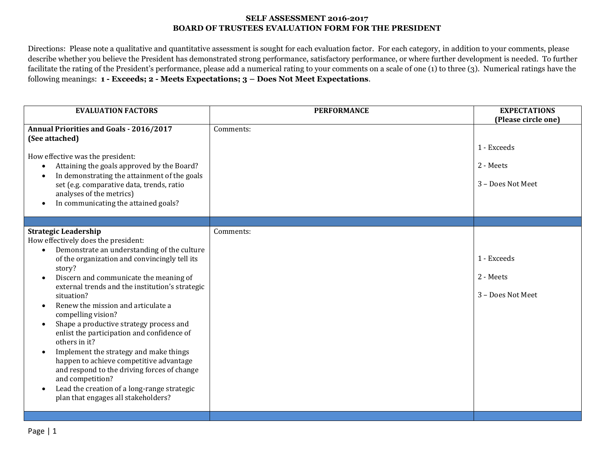#### **SELF ASSESSMENT 2016-2017 BOARD OF TRUSTEES EVALUATION FORM FOR THE PRESIDENT**

Directions: Please note a qualitative and quantitative assessment is sought for each evaluation factor. For each category, in addition to your comments, please describe whether you believe the President has demonstrated strong performance, satisfactory performance, or where further development is needed. To further facilitate the rating of the President's performance, please add a numerical rating to your comments on a scale of one (1) to three (3). Numerical ratings have the following meanings: **1 - Exceeds; 2 - Meets Expectations; 3 – Does Not Meet Expectations**.

| <b>EVALUATION FACTORS</b>                                                                                                                                                                                                                                                                                                                                                                                                                                                                                                                                                                                                                                                                                                | <b>PERFORMANCE</b> | <b>EXPECTATIONS</b><br>(Please circle one)    |
|--------------------------------------------------------------------------------------------------------------------------------------------------------------------------------------------------------------------------------------------------------------------------------------------------------------------------------------------------------------------------------------------------------------------------------------------------------------------------------------------------------------------------------------------------------------------------------------------------------------------------------------------------------------------------------------------------------------------------|--------------------|-----------------------------------------------|
| <b>Annual Priorities and Goals - 2016/2017</b><br>(See attached)<br>How effective was the president:<br>Attaining the goals approved by the Board?<br>In demonstrating the attainment of the goals<br>set (e.g. comparative data, trends, ratio<br>analyses of the metrics)<br>In communicating the attained goals?<br>$\bullet$                                                                                                                                                                                                                                                                                                                                                                                         | Comments:          | 1 - Exceeds<br>2 - Meets<br>3 - Does Not Meet |
| <b>Strategic Leadership</b><br>How effectively does the president:<br>Demonstrate an understanding of the culture<br>of the organization and convincingly tell its<br>story?<br>Discern and communicate the meaning of<br>external trends and the institution's strategic<br>situation?<br>Renew the mission and articulate a<br>compelling vision?<br>Shape a productive strategy process and<br>enlist the participation and confidence of<br>others in it?<br>Implement the strategy and make things<br>happen to achieve competitive advantage<br>and respond to the driving forces of change<br>and competition?<br>Lead the creation of a long-range strategic<br>$\bullet$<br>plan that engages all stakeholders? | Comments:          | 1 - Exceeds<br>2 - Meets<br>3 - Does Not Meet |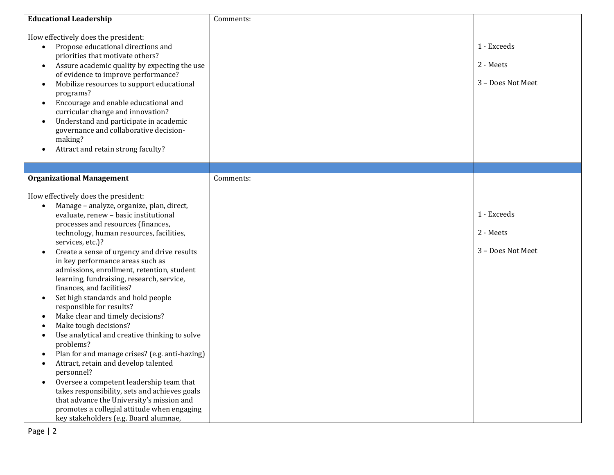| <b>Educational Leadership</b>                                                                                                                                                                                                                                                                                                                                                                                                                                                                                                                                                                                                                                                                                                                                                                                                                                                                                                                                                                                                                        | Comments: |                                               |
|------------------------------------------------------------------------------------------------------------------------------------------------------------------------------------------------------------------------------------------------------------------------------------------------------------------------------------------------------------------------------------------------------------------------------------------------------------------------------------------------------------------------------------------------------------------------------------------------------------------------------------------------------------------------------------------------------------------------------------------------------------------------------------------------------------------------------------------------------------------------------------------------------------------------------------------------------------------------------------------------------------------------------------------------------|-----------|-----------------------------------------------|
| How effectively does the president:<br>Propose educational directions and<br>$\bullet$<br>priorities that motivate others?<br>Assure academic quality by expecting the use<br>$\bullet$<br>of evidence to improve performance?<br>Mobilize resources to support educational<br>٠<br>programs?<br>Encourage and enable educational and<br>$\bullet$<br>curricular change and innovation?<br>Understand and participate in academic<br>$\bullet$<br>governance and collaborative decision-<br>making?<br>Attract and retain strong faculty?                                                                                                                                                                                                                                                                                                                                                                                                                                                                                                            |           | 1 - Exceeds<br>2 - Meets<br>3 - Does Not Meet |
|                                                                                                                                                                                                                                                                                                                                                                                                                                                                                                                                                                                                                                                                                                                                                                                                                                                                                                                                                                                                                                                      |           |                                               |
| <b>Organizational Management</b><br>How effectively does the president:<br>Manage - analyze, organize, plan, direct,<br>evaluate, renew - basic institutional<br>processes and resources (finances,<br>technology, human resources, facilities,<br>services, etc.)?<br>Create a sense of urgency and drive results<br>$\bullet$<br>in key performance areas such as<br>admissions, enrollment, retention, student<br>learning, fundraising, research, service,<br>finances, and facilities?<br>Set high standards and hold people<br>٠<br>responsible for results?<br>Make clear and timely decisions?<br>Make tough decisions?<br>Use analytical and creative thinking to solve<br>problems?<br>Plan for and manage crises? (e.g. anti-hazing)<br>$\bullet$<br>Attract, retain and develop talented<br>personnel?<br>Oversee a competent leadership team that<br>takes responsibility, sets and achieves goals<br>that advance the University's mission and<br>promotes a collegial attitude when engaging<br>key stakeholders (e.g. Board alumnae, | Comments: | 1 - Exceeds<br>2 - Meets<br>3 - Does Not Meet |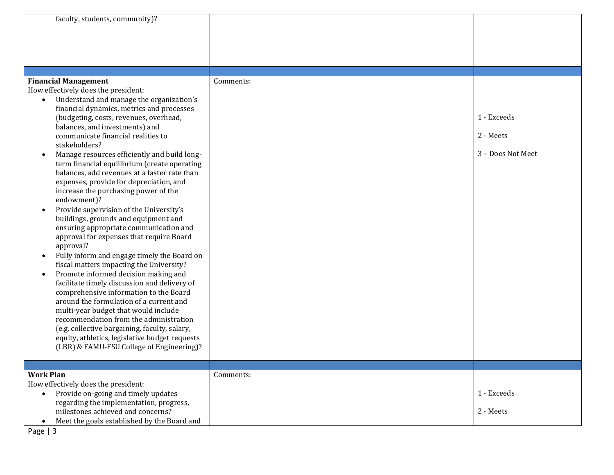| faculty, students, community)?                                                      |           |                   |
|-------------------------------------------------------------------------------------|-----------|-------------------|
|                                                                                     |           |                   |
|                                                                                     |           |                   |
| <b>Financial Management</b>                                                         | Comments: |                   |
| How effectively does the president:                                                 |           |                   |
| Understand and manage the organization's<br>$\bullet$                               |           |                   |
| financial dynamics, metrics and processes<br>(budgeting, costs, revenues, overhead, |           | 1 - Exceeds       |
| balances, and investments) and                                                      |           |                   |
| communicate financial realities to                                                  |           | 2 - Meets         |
| stakeholders?                                                                       |           |                   |
| Manage resources efficiently and build long-                                        |           | 3 - Does Not Meet |
| term financial equilibrium (create operating                                        |           |                   |
| balances, add revenues at a faster rate than                                        |           |                   |
| expenses, provide for depreciation, and                                             |           |                   |
| increase the purchasing power of the                                                |           |                   |
| endowment)?                                                                         |           |                   |
| Provide supervision of the University's<br>$\bullet$                                |           |                   |
| buildings, grounds and equipment and                                                |           |                   |
| ensuring appropriate communication and<br>approval for expenses that require Board  |           |                   |
| approval?                                                                           |           |                   |
| Fully inform and engage timely the Board on<br>$\bullet$                            |           |                   |
| fiscal matters impacting the University?                                            |           |                   |
| Promote informed decision making and<br>$\bullet$                                   |           |                   |
| facilitate timely discussion and delivery of                                        |           |                   |
| comprehensive information to the Board                                              |           |                   |
| around the formulation of a current and                                             |           |                   |
| multi-year budget that would include                                                |           |                   |
| recommendation from the administration                                              |           |                   |
| (e.g. collective bargaining, faculty, salary,                                       |           |                   |
| equity, athletics, legislative budget requests                                      |           |                   |
| (LBR) & FAMU-FSU College of Engineering)?                                           |           |                   |
|                                                                                     |           |                   |
| <b>Work Plan</b>                                                                    | Comments: |                   |
| How effectively does the president:                                                 |           |                   |
| Provide on-going and timely updates<br>$\bullet$                                    |           | 1 - Exceeds       |
| regarding the implementation, progress,                                             |           |                   |
| milestones achieved and concerns?                                                   |           | 2 - Meets         |
| Meet the goals established by the Board and<br>$\bullet$                            |           |                   |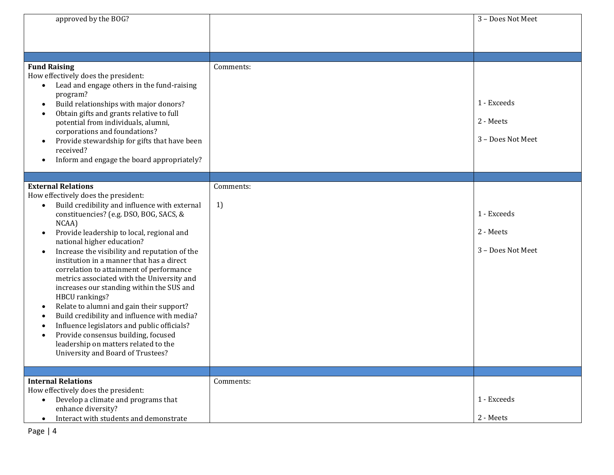| approved by the BOG?                                                                                                                                                                                                                                                                                                                                                                                                                                                                                                                                                                                                                                                                                                                                                                                         |                 | 3 - Does Not Meet                             |
|--------------------------------------------------------------------------------------------------------------------------------------------------------------------------------------------------------------------------------------------------------------------------------------------------------------------------------------------------------------------------------------------------------------------------------------------------------------------------------------------------------------------------------------------------------------------------------------------------------------------------------------------------------------------------------------------------------------------------------------------------------------------------------------------------------------|-----------------|-----------------------------------------------|
| <b>Fund Raising</b><br>How effectively does the president:<br>Lead and engage others in the fund-raising<br>$\bullet$<br>program?<br>Build relationships with major donors?<br>$\bullet$<br>Obtain gifts and grants relative to full<br>potential from individuals, alumni,<br>corporations and foundations?<br>Provide stewardship for gifts that have been<br>received?<br>Inform and engage the board appropriately?                                                                                                                                                                                                                                                                                                                                                                                      | Comments:       | 1 - Exceeds<br>2 - Meets<br>3 - Does Not Meet |
| <b>External Relations</b><br>How effectively does the president:<br>Build credibility and influence with external<br>$\bullet$<br>constituencies? (e.g. DSO, BOG, SACS, &<br>NCAA)<br>Provide leadership to local, regional and<br>$\bullet$<br>national higher education?<br>Increase the visibility and reputation of the<br>$\bullet$<br>institution in a manner that has a direct<br>correlation to attainment of performance<br>metrics associated with the University and<br>increases our standing within the SUS and<br>HBCU rankings?<br>Relate to alumni and gain their support?<br>Build credibility and influence with media?<br>Influence legislators and public officials?<br>Provide consensus building, focused<br>leadership on matters related to the<br>University and Board of Trustees? | Comments:<br>1) | 1 - Exceeds<br>2 - Meets<br>3 - Does Not Meet |
| <b>Internal Relations</b><br>How effectively does the president:<br>Develop a climate and programs that<br>$\bullet$<br>enhance diversity?<br>Interact with students and demonstrate<br>$\bullet$                                                                                                                                                                                                                                                                                                                                                                                                                                                                                                                                                                                                            | Comments:       | 1 - Exceeds<br>2 - Meets                      |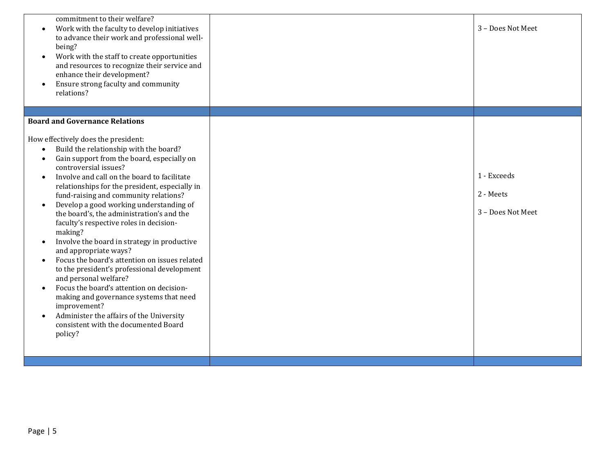| commitment to their welfare?<br>Work with the faculty to develop initiatives<br>$\bullet$<br>to advance their work and professional well-<br>being?<br>Work with the staff to create opportunities<br>$\bullet$<br>and resources to recognize their service and<br>enhance their development?<br>Ensure strong faculty and community<br>relations?                                                                                                                                                                                                                                                                                                                                                                                                                                                                                                                                                                                             | 3 - Does Not Meet                             |
|------------------------------------------------------------------------------------------------------------------------------------------------------------------------------------------------------------------------------------------------------------------------------------------------------------------------------------------------------------------------------------------------------------------------------------------------------------------------------------------------------------------------------------------------------------------------------------------------------------------------------------------------------------------------------------------------------------------------------------------------------------------------------------------------------------------------------------------------------------------------------------------------------------------------------------------------|-----------------------------------------------|
| <b>Board and Governance Relations</b>                                                                                                                                                                                                                                                                                                                                                                                                                                                                                                                                                                                                                                                                                                                                                                                                                                                                                                          |                                               |
| How effectively does the president:<br>Build the relationship with the board?<br>$\bullet$<br>Gain support from the board, especially on<br>$\bullet$<br>controversial issues?<br>Involve and call on the board to facilitate<br>$\bullet$<br>relationships for the president, especially in<br>fund-raising and community relations?<br>Develop a good working understanding of<br>$\bullet$<br>the board's, the administration's and the<br>faculty's respective roles in decision-<br>making?<br>Involve the board in strategy in productive<br>$\bullet$<br>and appropriate ways?<br>Focus the board's attention on issues related<br>$\bullet$<br>to the president's professional development<br>and personal welfare?<br>Focus the board's attention on decision-<br>$\bullet$<br>making and governance systems that need<br>improvement?<br>Administer the affairs of the University<br>consistent with the documented Board<br>policy? | 1 - Exceeds<br>2 - Meets<br>3 - Does Not Meet |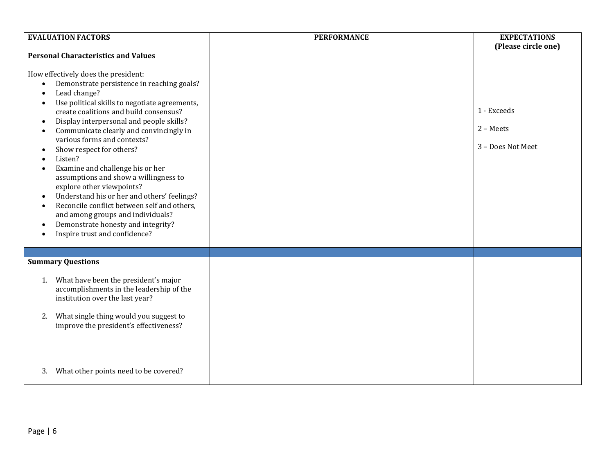| <b>EVALUATION FACTORS</b>                                                                                                                                                                                                                                                                                                                                                                                                                                                                                                                                                                                                                                                                                                                                                                    | <b>PERFORMANCE</b> | <b>EXPECTATIONS</b>                                                  |
|----------------------------------------------------------------------------------------------------------------------------------------------------------------------------------------------------------------------------------------------------------------------------------------------------------------------------------------------------------------------------------------------------------------------------------------------------------------------------------------------------------------------------------------------------------------------------------------------------------------------------------------------------------------------------------------------------------------------------------------------------------------------------------------------|--------------------|----------------------------------------------------------------------|
| <b>Personal Characteristics and Values</b><br>How effectively does the president:<br>Demonstrate persistence in reaching goals?<br>Lead change?<br>Use political skills to negotiate agreements,<br>create coalitions and build consensus?<br>Display interpersonal and people skills?<br>$\bullet$<br>Communicate clearly and convincingly in<br>various forms and contexts?<br>Show respect for others?<br>$\bullet$<br>Listen?<br>Examine and challenge his or her<br>assumptions and show a willingness to<br>explore other viewpoints?<br>Understand his or her and others' feelings?<br>$\bullet$<br>Reconcile conflict between self and others,<br>$\bullet$<br>and among groups and individuals?<br>Demonstrate honesty and integrity?<br>$\bullet$<br>Inspire trust and confidence? |                    | (Please circle one)<br>1 - Exceeds<br>2 - Meets<br>3 - Does Not Meet |
| <b>Summary Questions</b><br>What have been the president's major<br>1.<br>accomplishments in the leadership of the<br>institution over the last year?<br>What single thing would you suggest to<br>2.<br>improve the president's effectiveness?<br>What other points need to be covered?<br>3.                                                                                                                                                                                                                                                                                                                                                                                                                                                                                               |                    |                                                                      |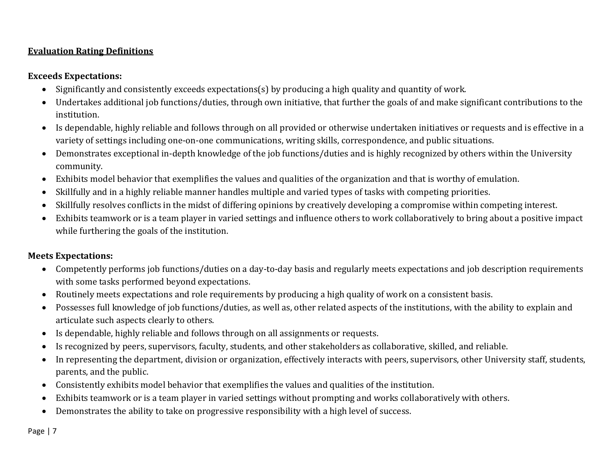## **Evaluation Rating Definitions**

# **Exceeds Expectations:**

- Significantly and consistently exceeds expectations(s) by producing a high quality and quantity of work.
- Undertakes additional job functions/duties, through own initiative, that further the goals of and make significant contributions to the institution.
- Is dependable, highly reliable and follows through on all provided or otherwise undertaken initiatives or requests and is effective in a variety of settings including one-on-one communications, writing skills, correspondence, and public situations.
- Demonstrates exceptional in-depth knowledge of the job functions/duties and is highly recognized by others within the University community.
- Exhibits model behavior that exemplifies the values and qualities of the organization and that is worthy of emulation.
- Skillfully and in a highly reliable manner handles multiple and varied types of tasks with competing priorities.
- Skillfully resolves conflicts in the midst of differing opinions by creatively developing a compromise within competing interest.
- Exhibits teamwork or is a team player in varied settings and influence others to work collaboratively to bring about a positive impact while furthering the goals of the institution.

## **Meets Expectations:**

- Competently performs job functions/duties on a day-to-day basis and regularly meets expectations and job description requirements with some tasks performed beyond expectations.
- Routinely meets expectations and role requirements by producing a high quality of work on a consistent basis.
- Possesses full knowledge of job functions/duties, as well as, other related aspects of the institutions, with the ability to explain and articulate such aspects clearly to others.
- Is dependable, highly reliable and follows through on all assignments or requests.
- Is recognized by peers, supervisors, faculty, students, and other stakeholders as collaborative, skilled, and reliable.
- In representing the department, division or organization, effectively interacts with peers, supervisors, other University staff, students, parents, and the public.
- Consistently exhibits model behavior that exemplifies the values and qualities of the institution.
- Exhibits teamwork or is a team player in varied settings without prompting and works collaboratively with others.
- Demonstrates the ability to take on progressive responsibility with a high level of success.